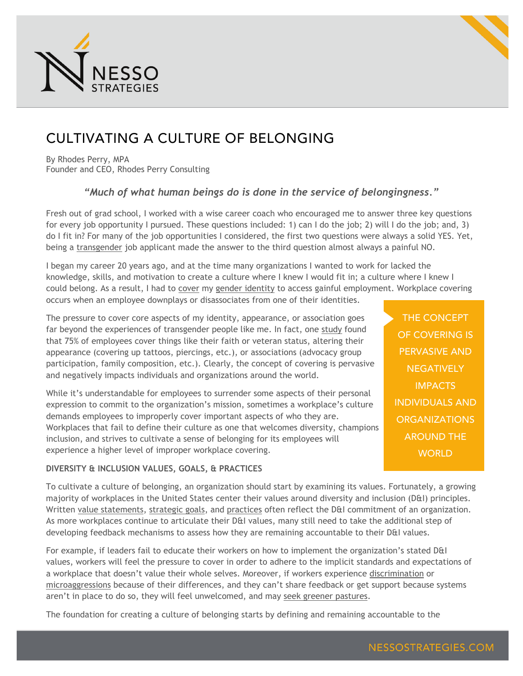



## CULTIVATING A CULTURE OF BELONGING

By Rhodes Perry, MPA Founder and CEO, Rhodes Perry Consulting

## *"Much of what human beings do is done in the service of belongingness."*

Fresh out of grad school, I worked with a wise career coach who encouraged me to answer three key questions for every job opportunity I pursued. These questions included: 1) can I do the job; 2) will I do the job; and, 3) do I fit in? For many of the job opportunities I considered, the first two questions were always a solid YES. Yet, being a [transgender](https://en.wikipedia.org/wiki/Transgender) job applicant made the answer to the third question almost always a painful NO.

I began my career 20 years ago, and at the time many organizations I wanted to work for lacked the knowledge, skills, and motivation to create a culture where I knew I would fit in; a culture where I knew I could belong. As a result, I had to [cover](https://www2.deloitte.com/content/dam/Deloitte/us/Documents/about-deloitte/us-inclusion-uncovering-talent-paper.pdf) my [gender identity](https://en.wikipedia.org/wiki/Gender_identity) to access gainful employment. Workplace covering occurs when an employee downplays or disassociates from one of their identities.

The pressure to cover core aspects of my identity, appearance, or association goes far beyond the experiences of transgender people like me. In fact, one [study](https://tanenbaum.org/wp-content/uploads/2015/01/2015-January-Corporate-Member-Newsletter-Vol.-4-No.-1.pdf) found that 75% of employees cover things like their faith or veteran status, altering their appearance (covering up tattoos, piercings, etc.), or associations (advocacy group participation, family composition, etc.). Clearly, the concept of covering is pervasive and negatively impacts individuals and organizations around the world.

While it's understandable for employees to surrender some aspects of their personal expression to commit to the organization's mission, sometimes a workplace's culture demands employees to improperly cover important aspects of who they are. Workplaces that fail to define their culture as one that welcomes diversity, champions inclusion, and strives to cultivate a sense of belonging for its employees will experience a higher level of improper workplace covering.

**DIVERSITY & INCLUSION VALUES, GOALS, & PRACTICES**

THE CONCEPT OF COVERING IS PERVASIVE AND **NEGATIVELY IMPACTS** INDIVIDUALS AND **ORGANIZATIONS** AROUND THE **WORLD** 

To cultivate a culture of belonging, an organization should start by examining its values. Fortunately, a growing majority of workplaces in the United States center their values around diversity and inclusion (D&I) principles. Written [value statements,](http://www.nonprofitinclusiveness.org/examples-values-statements-commitments-diversityinclusiveness) [strategic goals,](http://ccdi.ca/wp-content/uploads/2016/06/20140910-CCDI-Report-DI-Strategy-Toolkit.pdf) and [practices](http://www.spra.com/wordpress2/wp-content/uploads/2014/07/TCE-Diversity-Toolkit.pdf) often reflect the D&I commitment of an organization. As more workplaces continue to articulate their D&I values, many still need to take the additional step of developing feedback mechanisms to assess how they are remaining accountable to their D&I values.

For example, if leaders fail to educate their workers on how to implement the organization's stated D&I values, workers will feel the pressure to cover in order to adhere to the implicit standards and expectations of a workplace that doesn't value their whole selves. Moreover, if workers experience [discrimination](http://employment.findlaw.com/employment-discrimination.html) or [microaggressions](https://en.wikipedia.org/wiki/Microaggression) because of their differences, and they can't share feedback or get support because systems aren't in place to do so, they will feel unwelcomed, and may [seek greener pastures.](https://www.entrepreneur.com/article/279369)

The foundation for creating a culture of belonging starts by defining and remaining accountable to the